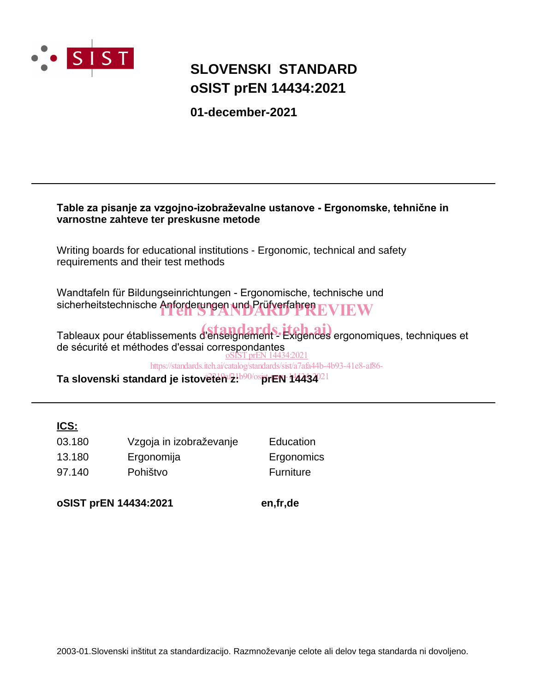

# **SLOVENSKI STANDARD oSIST prEN 14434:2021**

**01-december-2021**

# **Table za pisanje za vzgojno-izobraževalne ustanove - Ergonomske, tehnične in varnostne zahteve ter preskusne metode** Writing boards for educational institutions - Ergonomic, technical and safety requirements and their test methods Wandtafeln für Bildungseinrichtungen - Ergonomische, technische und sicherheitstechnische Anforderungen und Prüfverfahren EVIEW Tableaux pour établissements d'enseignement - Éxigences ergonomiques, techniques et de sécurité et méthodes d'essai correspondantes Ta slovenski standard je istoveten 2:<sup>b90/os</sup>prEN 14434<sup>021</sup> oSIST prEN 14434:2021 https://standards.iteh.ai/catalog/standards/sist/a7afa44b-4b93-41e8-af86-

# **ICS:**

| 03.180 | Vzgoja in izobraževanje | Education  |
|--------|-------------------------|------------|
| 13.180 | Ergonomija              | Ergonomics |
| 97.140 | Pohištvo                | Furniture  |

**oSIST prEN 14434:2021 en,fr,de**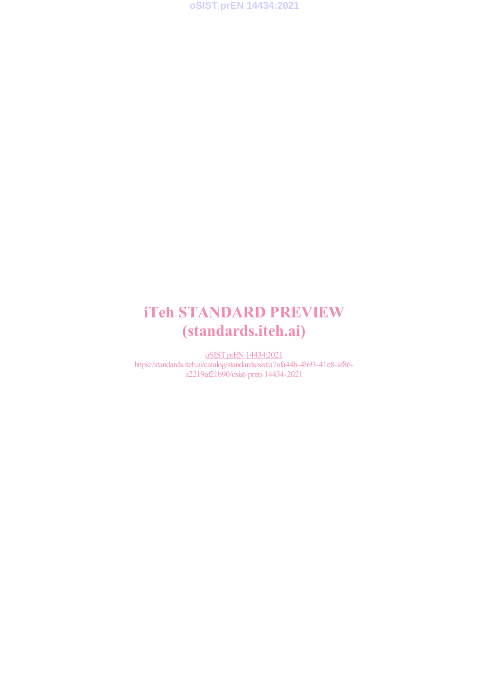

# iTeh STANDARD PREVIEW (standards.iteh.ai)

oSIST prEN 14434:2021 https://standards.iteh.ai/catalog/standards/sist/a7afa44b-4b93-41e8-af86 a2219af21b90/osist-pren-14434-2021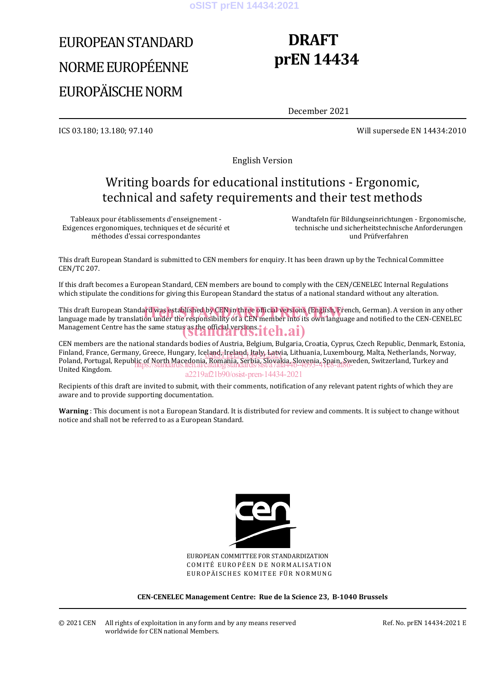# EUROPEAN STANDARD NORME EUROPÉENNE EUROPÄISCHE NORM

# **DRAFT prEN 14434**

December 2021

ICS 03.180; 13.180; 97.140 Will supersede EN 14434:2010

English Version

# Writing boards for educational institutions - Ergonomic, technical and safety requirements and their test methods

Tableaux pour établissements d'enseignement - Exigences ergonomiques, techniques et de sécurité et méthodes d'essai correspondantes

 Wandtafeln für Bildungseinrichtungen - Ergonomische, technische und sicherheitstechnische Anforderungen und Prüfverfahren

This draft European Standard is submitted to CEN members for enquiry. It has been drawn up by the Technical Committee CEN/TC 207.

If this draft becomes a European Standard, CEN members are bound to comply with the CEN/CENELEC Internal Regulations which stipulate the conditions for giving this European Standard the status of a national standard without any alteration.

This draft European Standard was established by CEN in three official versions (English, French, German). A version in any other<br>language made by translation under the responsibility of a CEN member into its own language a language made by translation under the responsibility of a CEN member into its own language and notified to the CEN-CENELEC Management Centre has the same status as the official versions. iteh.ai)

CEN members are the national standards bodies of Austria, Belgium, Bulgaria, Croatia, Cyprus, Czech Republic, Denmark, Estonia, Finland, France, Germany, Greece, Hungary, Iceland, Ireland, Italy, Latvia, Lithuania, Luxembourg, Malta, Netherlands, Norway, Poland, Portugal, Republic of North Macedonia, Romania, Serbia, Slovakia, Slovenia, Spain, Sweden, Switzerland, Turkey and<br>United Kingdom United Kingdom. a2219af21b90/osist-pren-14434-2021

Recipients of this draft are invited to submit, with their comments, notification of any relevant patent rights of which they are aware and to provide supporting documentation.

**Warning** : This document is not a European Standard. It is distributed for review and comments. It is subject to change without notice and shall not be referred to as a European Standard.



EUROPEAN COMMITTEE FOR STANDARDIZATION COMITÉ EUROPÉEN DE NORMALISATION EUROPÄISCHES KOMITEE FÜR NORMUNG

**CEN-CENELEC Management Centre: Rue de la Science 23, B-1040 Brussels**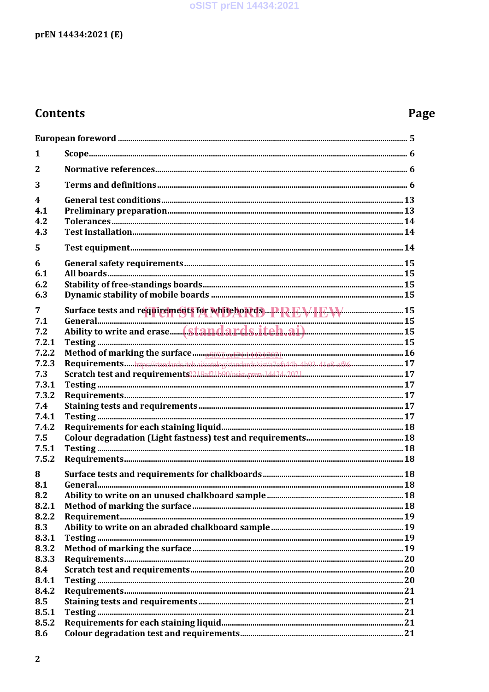# oSIST prEN 14434:2021

# prEN 14434:2021 (E)

# **Contents**

# Page

| 1                       |                                                                                         |  |
|-------------------------|-----------------------------------------------------------------------------------------|--|
| $\mathbf{2}$            |                                                                                         |  |
| 3                       |                                                                                         |  |
| $\overline{\mathbf{4}}$ |                                                                                         |  |
| 4.1                     |                                                                                         |  |
| 4.2                     |                                                                                         |  |
| 4.3                     |                                                                                         |  |
| 5                       |                                                                                         |  |
| 6                       |                                                                                         |  |
| 6.1                     |                                                                                         |  |
| 6.2                     |                                                                                         |  |
| 6.3                     |                                                                                         |  |
| 7                       |                                                                                         |  |
| 7.1                     | Surface tests and requirements for whiteboards PPREVIEW M                               |  |
| 7.2                     |                                                                                         |  |
| 7.2.1                   |                                                                                         |  |
| 7.2.2                   |                                                                                         |  |
| 7.2.3                   | Requirementshttps://standards.iteh.ai/catalog/standards/sist/a7afa44b.4b93.41e8.af86 17 |  |
| 7.3                     |                                                                                         |  |
| 7.3.1                   |                                                                                         |  |
| 7.3.2                   |                                                                                         |  |
| 7.4                     |                                                                                         |  |
| 7.4.1                   |                                                                                         |  |
| 7.4.2                   |                                                                                         |  |
| 7.5                     |                                                                                         |  |
| 7.5.1                   |                                                                                         |  |
| 7.5.2                   |                                                                                         |  |
|                         |                                                                                         |  |
| 8                       |                                                                                         |  |
| 8.1<br>8.2              |                                                                                         |  |
|                         |                                                                                         |  |
| 8.2.1<br>8.2.2          |                                                                                         |  |
| 8.3                     |                                                                                         |  |
| 8.3.1                   |                                                                                         |  |
| 8.3.2                   |                                                                                         |  |
| 8.3.3                   |                                                                                         |  |
| 8.4                     |                                                                                         |  |
| 8.4.1                   |                                                                                         |  |
| 8.4.2                   |                                                                                         |  |
| 8.5                     |                                                                                         |  |
| 8.5.1                   |                                                                                         |  |
| 8.5.2                   |                                                                                         |  |
| 8.6                     |                                                                                         |  |
|                         |                                                                                         |  |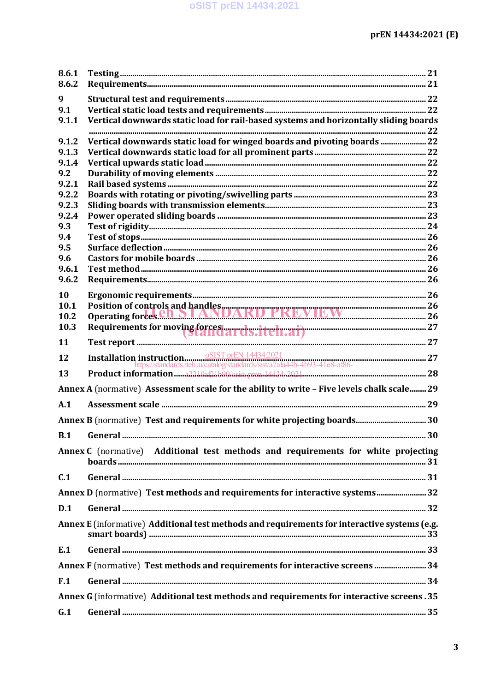| 8.6.1        |                                                                                              |    |
|--------------|----------------------------------------------------------------------------------------------|----|
| 8.6.2        |                                                                                              |    |
| 9<br>9.1     |                                                                                              |    |
| 9.1.1        | Vertical downwards static load for rail-based systems and horizontally sliding boards        |    |
|              |                                                                                              |    |
| 9.1.2        | Vertical downwards static load for winged boards and pivoting boards  22                     |    |
| 9.1.3        |                                                                                              |    |
| 9.1.4<br>9.2 |                                                                                              |    |
| 9.2.1        |                                                                                              |    |
| 9.2.2        |                                                                                              |    |
| 9.2.3        |                                                                                              |    |
| 9.2.4        |                                                                                              |    |
| 9.3<br>9.4   |                                                                                              |    |
| 9.5          |                                                                                              |    |
| 9.6          |                                                                                              |    |
| 9.6.1        |                                                                                              |    |
| 9.6.2        |                                                                                              |    |
| 10           |                                                                                              |    |
| 10.1         | Position of controls and handles<br>Operating forces.edu.by ANDARD PREVIEW 26                |    |
| 10.2         |                                                                                              |    |
| 10.3         | Requirements for moving forcest archs: iteli.ai)                                             |    |
| 11           |                                                                                              |    |
| 12           |                                                                                              |    |
| 13           |                                                                                              |    |
|              | Annex A (normative) Assessment scale for the ability to write - Five levels chalk scale 29   |    |
| A.1          |                                                                                              |    |
|              |                                                                                              |    |
|              |                                                                                              | 30 |
|              | Annex C (normative) Additional test methods and requirements for white projecting            |    |
| C.1          |                                                                                              |    |
|              | Annex D (normative) Test methods and requirements for interactive systems 32                 |    |
| D.1          |                                                                                              |    |
|              | Annex E (informative) Additional test methods and requirements for interactive systems (e.g. |    |
| E.1          |                                                                                              |    |
|              | Annex F (normative) Test methods and requirements for interactive screens  34                |    |
| F.1          |                                                                                              |    |
|              | Annex G (informative) Additional test methods and requirements for interactive screens. 35   |    |
| G.1          |                                                                                              |    |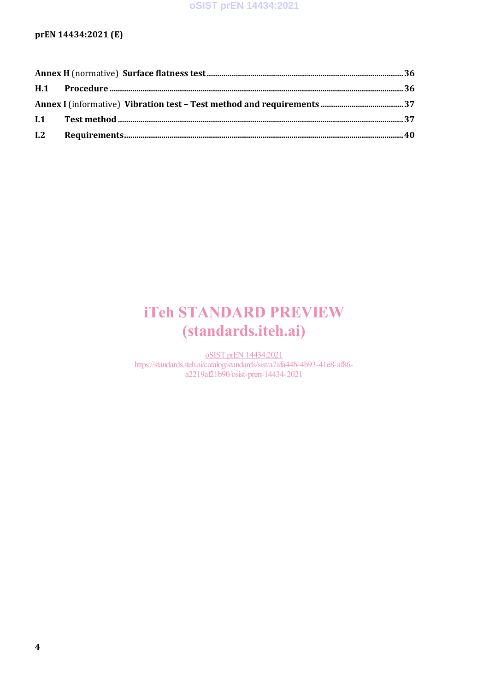# iTeh STANDARD PREVIEW (standards.iteh.ai)

oSIST prEN 14434:2021 https://standards.iteh.ai/catalog/standards/sist/a7afa44b-4b93-41e8-af86 a2219af21b90/osist-pren-14434-2021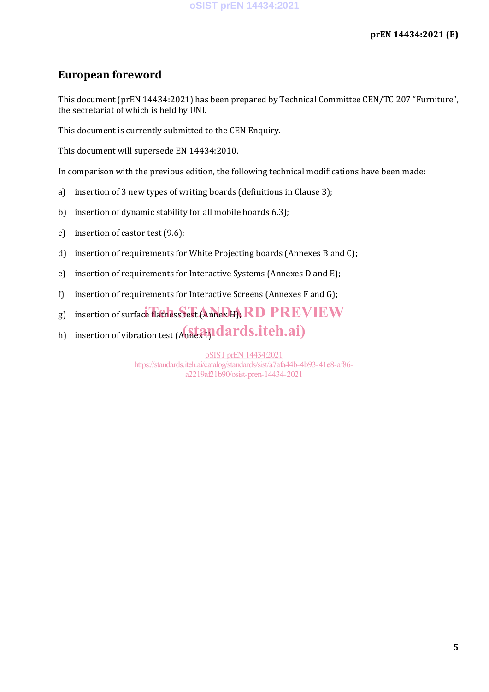# **European foreword**

This document (prEN 14434:2021) has been prepared by Technical Committee CEN/TC 207 "Furniture", the secretariat of which is held by UNI.

This document is currently submitted to the CEN Enquiry.

This document will supersede EN 14434:2010.

In comparison with the previous edition, the following technical modifications have been made:

- a) insertion of 3 new types of writing boards (definitions in Clause 3);
- b) insertion of dynamic stability for all mobile boards 6.3);
- c) insertion of castor test (9.6);
- d) insertion of requirements for White Projecting boards (Annexes B and C);
- e) insertion of requirements for Interactive Systems (Annexes D and E);
- f) insertion of requirements for Interactive Screens (Annexes F and G);
- g) insertion of surface flatness test (Annex H), RD PREVIEW
- h) insertion of vibration test (Annex 1). dards.iteh.ai)

oSIST prEN 14434:2021 https://standards.iteh.ai/catalog/standards/sist/a7afa44b-4b93-41e8-af86 a2219af21b90/osist-pren-14434-2021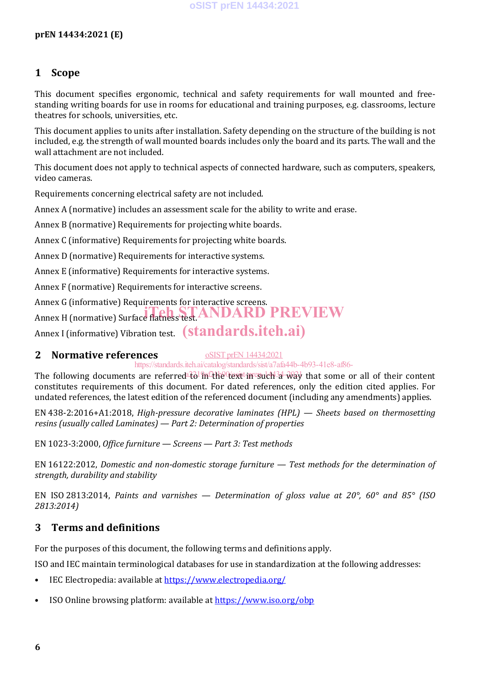# **1 Scope**

This document specifies ergonomic, technical and safety requirements for wall mounted and freestanding writing boards for use in rooms for educational and training purposes, e.g. classrooms, lecture theatres for schools, universities, etc.

This document applies to units after installation. Safety depending on the structure of the building is not included, e.g. the strength of wall mounted boards includes only the board and its parts. The wall and the wall attachment are not included.

This document does not apply to technical aspects of connected hardware, such as computers, speakers, video cameras.

Requirements concerning electrical safety are not included.

Annex A (normative) includes an assessment scale for the ability to write and erase.

Annex B (normative) Requirements for projecting white boards.

Annex C (informative) Requirements for projecting white boards.

Annex D (normative) Requirements for interactive systems.

Annex E (informative) Requirements for interactive systems.

Annex F (normative) Requirements for interactive screens.

Annex G (informative) Requirements for interactive screens. Annex H (normative) Surface flatness test. ANDARD PREVIEW

Annex I (informative) Vibration test. (standards.iteh.ai)

## **2 Normative references**

oSIST prEN 14434:2021

https://standards.iteh.ai/catalog/standards/sist/a7afa44b-4b93-41e8-af86-

The following documents are referred to in the text in such a way that some or all of their content constitutes requirements of this document. For dated references, only the edition cited applies. For undated references, the latest edition of the referenced document (including any amendments) applies.

EN 438-2:2016+A1:2018, *High-pressure decorative laminates (HPL) — Sheets based on thermosetting resins (usually called Laminates) — Part 2: Determination of properties*

EN 1023-3:2000, *Office furniture — Screens — Part 3: Test methods*

EN 16122:2012, *Domestic and non-domestic storage furniture — Test methods for the determination of strength, durability and stability*

EN ISO 2813:2014, *Paints and varnishes — Determination of gloss value at 20°, 60° and 85° (ISO 2813:2014)*

# **3 Terms and definitions**

For the purposes of this document, the following terms and definitions apply.

ISO and IEC maintain terminological databases for use in standardization at the following addresses:

- IEC Electropedia: available at https://www.electropedia.org/
- ISO Online browsing platform: available at https://www.iso.org/obp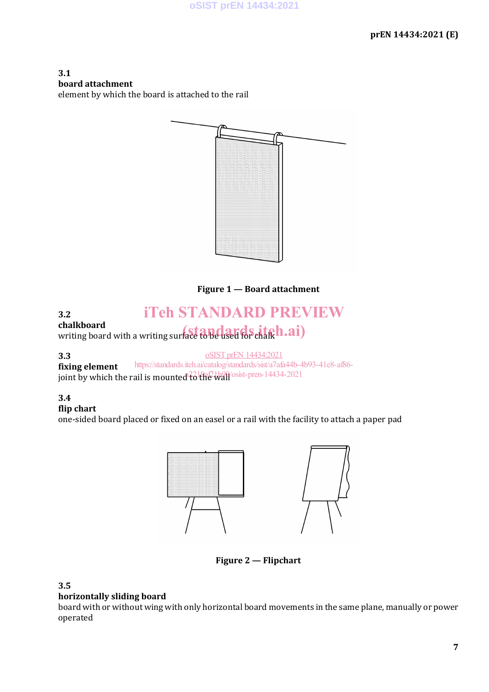**3.1 board attachment** element by which the board is attached to the rail



**Figure 1 — Board attachment**

#### **3.2 chalkboard** iTeh STANDARD PREVIEW

chalkboard<br>writing board with a writing surface to be used for chalk **h**.ai)

**3.3**

oSIST prEN 14434:2021

**fixing element** joint by which the rail is mounted  $\frac{2}{6}$  the wall  $\frac{1}{90}$  osist-pren-14434-2021 https://standards.iteh.ai/catalog/standards/sist/a7afa44b-4b93-41e8-af86-

# **3.4**

## **flip chart**

one-sided board placed or fixed on an easel or a rail with the facility to attach a paper pad



**Figure 2 — Flipchart**

## **3.5**

## **horizontally sliding board**

board with or without wing with only horizontal board movements in the same plane, manually or power operated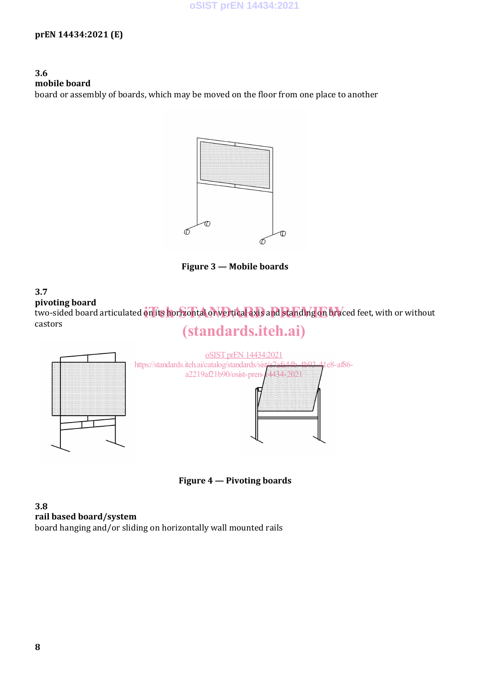**3.6 mobile board** board or assembly of boards, which may be moved on the floor from one place to another



**Figure 3 — Mobile boards**

#### **3.7 pivoting board** procing board<br>two-sided board articulated on its horizontal or vertical axis and standing on braced feet, with or without castors (standards.iteh.ai)



**Figure 4 — Pivoting boards**

**3.8 rail based board/system** board hanging and/or sliding on horizontally wall mounted rails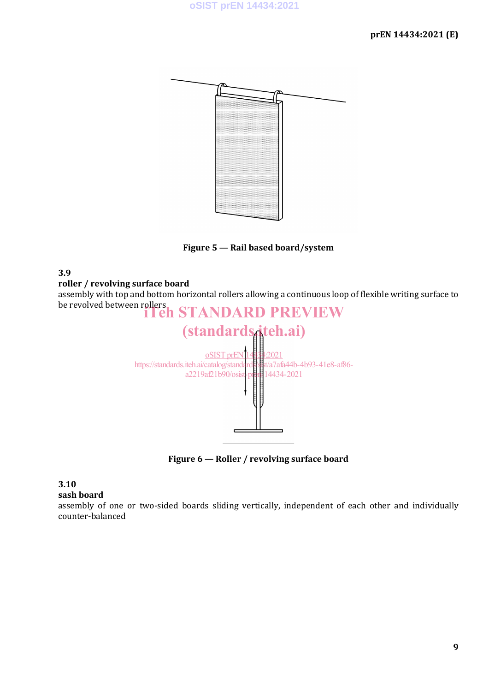

**Figure 5 — Rail based board/system**

**3.9**

**roller / revolving surface board**

assembly with top and bottom horizontal rollers allowing a continuous loop of flexible writing surface to



**Figure 6 — Roller / revolving surface board**

# **3.10**

**sash board**

assembly of one or two-sided boards sliding vertically, independent of each other and individually counter-balanced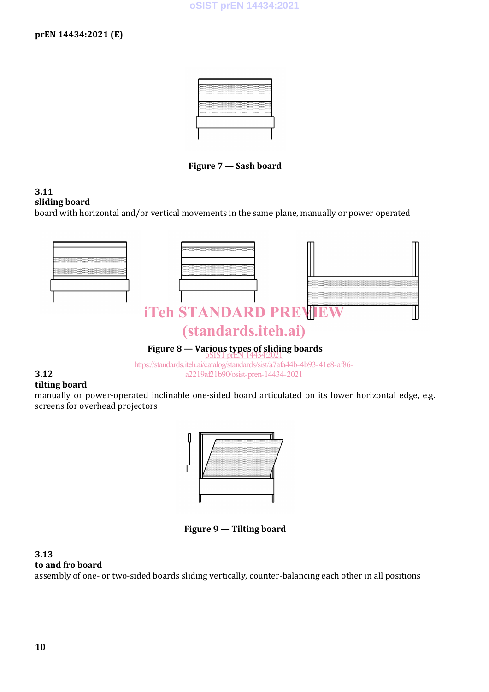

**Figure 7 — Sash board**

#### **3.11 sliding board**

board with horizontal and/or vertical movements in the same plane, manually or power operated



#### **3.12 tilting board**

manually or power-operated inclinable one-sided board articulated on its lower horizontal edge, e.g. screens for overhead projectors



**Figure 9 — Tilting board**

#### **3.13 to and fro board**

assembly of one- or two-sided boards sliding vertically, counter-balancing each other in all positions